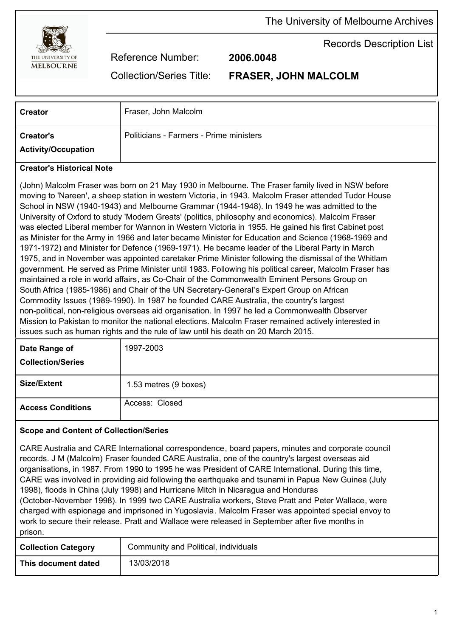

Records Description List

Reference Number: **2006.0048**

Collection/Series Title: **FRASER, JOHN MALCOLM**

| <b>Creator</b>                   | Fraser, John Malcolm                                                                                                                                                                                                                                                                                                                                                                                                                                                                                                                                                                                                                                                                                                                                                                                                                                                                                                                                                                                                                              |
|----------------------------------|---------------------------------------------------------------------------------------------------------------------------------------------------------------------------------------------------------------------------------------------------------------------------------------------------------------------------------------------------------------------------------------------------------------------------------------------------------------------------------------------------------------------------------------------------------------------------------------------------------------------------------------------------------------------------------------------------------------------------------------------------------------------------------------------------------------------------------------------------------------------------------------------------------------------------------------------------------------------------------------------------------------------------------------------------|
| <b>Creator's</b>                 | Politicians - Farmers - Prime ministers                                                                                                                                                                                                                                                                                                                                                                                                                                                                                                                                                                                                                                                                                                                                                                                                                                                                                                                                                                                                           |
| <b>Activity/Occupation</b>       |                                                                                                                                                                                                                                                                                                                                                                                                                                                                                                                                                                                                                                                                                                                                                                                                                                                                                                                                                                                                                                                   |
| <b>Creator's Historical Note</b> |                                                                                                                                                                                                                                                                                                                                                                                                                                                                                                                                                                                                                                                                                                                                                                                                                                                                                                                                                                                                                                                   |
|                                  | (John) Malcolm Fraser was born on 21 May 1930 in Melbourne. The Fraser family lived in NSW before<br>moving to 'Nareen', a sheep station in western Victoria, in 1943. Malcolm Fraser attended Tudor House<br>School in NSW (1940-1943) and Melbourne Grammar (1944-1948). In 1949 he was admitted to the<br>University of Oxford to study 'Modern Greats' (politics, philosophy and economics). Malcolm Fraser<br>was elected Liberal member for Wannon in Western Victoria in 1955. He gained his first Cabinet post<br>as Minister for the Army in 1966 and later became Minister for Education and Science (1968-1969 and<br>1971-1972) and Minister for Defence (1969-1971). He became leader of the Liberal Party in March<br>1975, and in November was appointed caretaker Prime Minister following the dismissal of the Whitlam<br>government. He served as Prime Minister until 1983. Following his political career, Malcolm Fraser has<br>maintained a role in world affairs, as Co-Chair of the Commonwealth Eminent Persons Group on |

South Africa (1985-1986) and Chair of the UN Secretary-General's Expert Group on African Commodity Issues (1989-1990). In 1987 he founded CARE Australia, the country's largest non-political, non-religious overseas aid organisation. In 1997 he led a Commonwealth Observer Mission to Pakistan to monitor the national elections. Malcolm Fraser remained actively interested in issues such as human rights and the rule of law until his death on 20 March 2015.

| Date Range of<br><b>Collection/Series</b> | 1997-2003             |
|-------------------------------------------|-----------------------|
| <b>Size/Extent</b>                        | 1.53 metres (9 boxes) |
| <b>Access Conditions</b>                  | Access: Closed        |

## **Scope and Content of Collection/Series**

CARE Australia and CARE International correspondence, board papers, minutes and corporate council records. J M (Malcolm) Fraser founded CARE Australia, one of the country's largest overseas aid organisations, in 1987. From 1990 to 1995 he was President of CARE International. During this time, CARE was involved in providing aid following the earthquake and tsunami in Papua New Guinea (July 1998), floods in China (July 1998) and Hurricane Mitch in Nicaragua and Honduras (October-November 1998). In 1999 two CARE Australia workers, Steve Pratt and Peter Wallace, were charged with espionage and imprisoned in Yugoslavia. Malcolm Fraser was appointed special envoy to work to secure their release. Pratt and Wallace were released in September after five months in prison.

| <b>Collection Category</b> | Community and Political, individuals |
|----------------------------|--------------------------------------|
| This document dated        | 13/03/2018                           |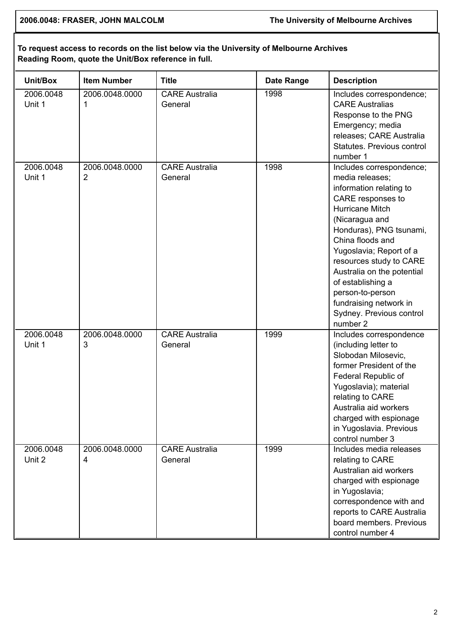**2006.0048: FRASER, JOHN MALCOLM The University of Melbourne Archives**

## **To request access to records on the list below via the University of Melbourne Archives Reading Room, quote the Unit/Box reference in full.**

| Unit/Box            | <b>Item Number</b>               | <b>Title</b>                     | <b>Date Range</b> | <b>Description</b>                                                                                                                                                                                                                                                                                                                                                             |
|---------------------|----------------------------------|----------------------------------|-------------------|--------------------------------------------------------------------------------------------------------------------------------------------------------------------------------------------------------------------------------------------------------------------------------------------------------------------------------------------------------------------------------|
| 2006.0048<br>Unit 1 | 2006.0048.0000<br>1              | <b>CARE Australia</b><br>General | 1998              | Includes correspondence;<br><b>CARE Australias</b><br>Response to the PNG<br>Emergency; media<br>releases; CARE Australia<br>Statutes, Previous control<br>number 1                                                                                                                                                                                                            |
| 2006.0048<br>Unit 1 | 2006.0048.0000<br>$\overline{2}$ | <b>CARE Australia</b><br>General | 1998              | Includes correspondence;<br>media releases;<br>information relating to<br>CARE responses to<br>Hurricane Mitch<br>(Nicaragua and<br>Honduras), PNG tsunami,<br>China floods and<br>Yugoslavia; Report of a<br>resources study to CARE<br>Australia on the potential<br>of establishing a<br>person-to-person<br>fundraising network in<br>Sydney. Previous control<br>number 2 |
| 2006.0048<br>Unit 1 | 2006.0048.0000<br>3              | <b>CARE Australia</b><br>General | 1999              | Includes correspondence<br>(including letter to<br>Slobodan Milosevic,<br>former President of the<br>Federal Republic of<br>Yugoslavia); material<br>relating to CARE<br>Australia aid workers<br>charged with espionage<br>in Yugoslavia. Previous<br>control number 3                                                                                                        |
| 2006.0048<br>Unit 2 | 2006.0048.0000<br>4              | <b>CARE Australia</b><br>General | 1999              | Includes media releases<br>relating to CARE<br>Australian aid workers<br>charged with espionage<br>in Yugoslavia;<br>correspondence with and<br>reports to CARE Australia<br>board members. Previous<br>control number 4                                                                                                                                                       |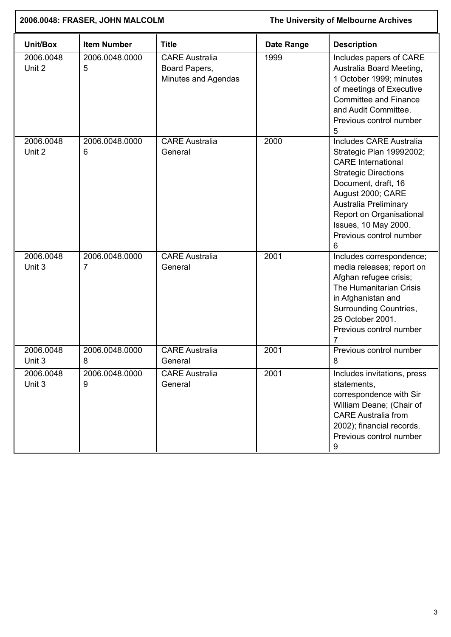| 2006.0048: FRASER, JOHN MALCOLM |                     | The University of Melbourne Archives                          |                   |                                                                                                                                                                                                                                                                                 |
|---------------------------------|---------------------|---------------------------------------------------------------|-------------------|---------------------------------------------------------------------------------------------------------------------------------------------------------------------------------------------------------------------------------------------------------------------------------|
| Unit/Box                        | <b>Item Number</b>  | <b>Title</b>                                                  | <b>Date Range</b> | <b>Description</b>                                                                                                                                                                                                                                                              |
| 2006.0048<br>Unit 2             | 2006.0048.0000<br>5 | <b>CARE Australia</b><br>Board Papers,<br>Minutes and Agendas | 1999              | Includes papers of CARE<br>Australia Board Meeting,<br>1 October 1999; minutes<br>of meetings of Executive<br><b>Committee and Finance</b><br>and Audit Committee.<br>Previous control number<br>5                                                                              |
| 2006.0048<br>Unit 2             | 2006.0048.0000<br>6 | <b>CARE Australia</b><br>General                              | 2000              | <b>Includes CARE Australia</b><br>Strategic Plan 19992002;<br><b>CARE</b> International<br><b>Strategic Directions</b><br>Document, draft, 16<br>August 2000; CARE<br>Australia Preliminary<br>Report on Organisational<br>Issues, 10 May 2000.<br>Previous control number<br>6 |
| 2006.0048<br>Unit 3             | 2006.0048.0000<br>7 | <b>CARE Australia</b><br>General                              | 2001              | Includes correspondence;<br>media releases; report on<br>Afghan refugee crisis;<br>The Humanitarian Crisis<br>in Afghanistan and<br><b>Surrounding Countries,</b><br>25 October 2001.<br>Previous control number<br>7                                                           |
| 2006.0048<br>Unit 3             | 2006.0048.0000<br>8 | <b>CARE</b> Australia<br>General                              | 2001              | Previous control number<br>8                                                                                                                                                                                                                                                    |
| 2006.0048<br>Unit 3             | 2006.0048.0000<br>9 | <b>CARE Australia</b><br>General                              | 2001              | Includes invitations, press<br>statements,<br>correspondence with Sir<br>William Deane; (Chair of<br><b>CARE Australia from</b><br>2002); financial records.<br>Previous control number<br>9                                                                                    |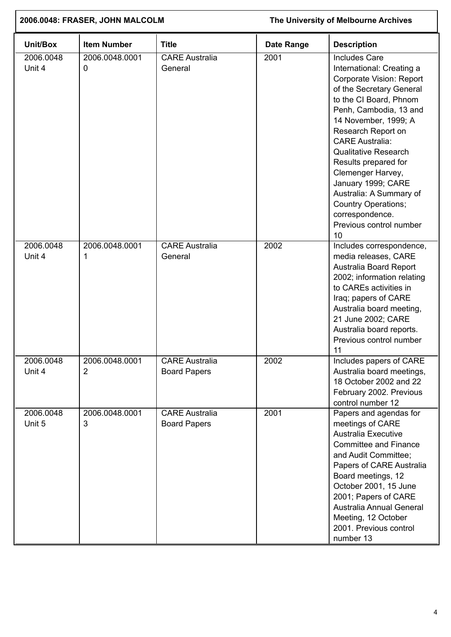| 2006.0048: FRASER, JOHN MALCOLM |                                  |                                              | The University of Melbourne Archives |                                                                                                                                                                                                                                                                                                                                                                                                                                                      |
|---------------------------------|----------------------------------|----------------------------------------------|--------------------------------------|------------------------------------------------------------------------------------------------------------------------------------------------------------------------------------------------------------------------------------------------------------------------------------------------------------------------------------------------------------------------------------------------------------------------------------------------------|
| Unit/Box                        | <b>Item Number</b>               | <b>Title</b>                                 | <b>Date Range</b>                    | <b>Description</b>                                                                                                                                                                                                                                                                                                                                                                                                                                   |
| 2006.0048<br>Unit 4             | 2006.0048.0001<br>0              | <b>CARE Australia</b><br>General             | 2001                                 | <b>Includes Care</b><br>International: Creating a<br>Corporate Vision: Report<br>of the Secretary General<br>to the CI Board, Phnom<br>Penh, Cambodia, 13 and<br>14 November, 1999; A<br>Research Report on<br><b>CARE Australia:</b><br><b>Qualitative Research</b><br>Results prepared for<br>Clemenger Harvey,<br>January 1999; CARE<br>Australia: A Summary of<br><b>Country Operations;</b><br>correspondence.<br>Previous control number<br>10 |
| 2006.0048<br>Unit 4             | 2006.0048.0001<br>1              | <b>CARE Australia</b><br>General             | 2002                                 | Includes correspondence,<br>media releases, CARE<br>Australia Board Report<br>2002; information relating<br>to CAREs activities in<br>Iraq; papers of CARE<br>Australia board meeting,<br>21 June 2002; CARE<br>Australia board reports.<br>Previous control number<br>11                                                                                                                                                                            |
| 2006.0048<br>Unit 4             | 2006.0048.0001<br>$\overline{2}$ | <b>CARE Australia</b><br><b>Board Papers</b> | 2002                                 | Includes papers of CARE<br>Australia board meetings,<br>18 October 2002 and 22<br>February 2002. Previous<br>control number 12                                                                                                                                                                                                                                                                                                                       |
| 2006.0048<br>Unit 5             | 2006.0048.0001<br>3              | <b>CARE Australia</b><br><b>Board Papers</b> | 2001                                 | Papers and agendas for<br>meetings of CARE<br><b>Australia Executive</b><br><b>Committee and Finance</b><br>and Audit Committee;<br>Papers of CARE Australia<br>Board meetings, 12<br>October 2001, 15 June<br>2001; Papers of CARE<br>Australia Annual General<br>Meeting, 12 October<br>2001. Previous control<br>number 13                                                                                                                        |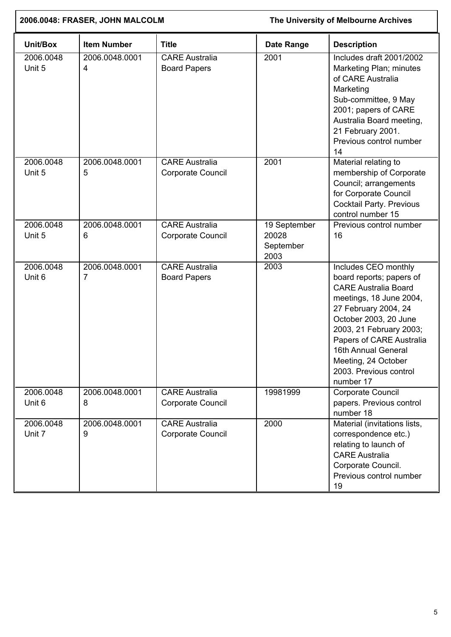| 2006.0048: FRASER, JOHN MALCOLM |                     |                                              | The University of Melbourne Archives       |                                                                                                                                                                                                                                                                                                         |
|---------------------------------|---------------------|----------------------------------------------|--------------------------------------------|---------------------------------------------------------------------------------------------------------------------------------------------------------------------------------------------------------------------------------------------------------------------------------------------------------|
| Unit/Box                        | <b>Item Number</b>  | <b>Title</b>                                 | Date Range                                 | <b>Description</b>                                                                                                                                                                                                                                                                                      |
| 2006.0048<br>Unit 5             | 2006.0048.0001<br>4 | <b>CARE Australia</b><br><b>Board Papers</b> | 2001                                       | Includes draft 2001/2002<br>Marketing Plan; minutes<br>of CARE Australia<br>Marketing<br>Sub-committee, 9 May<br>2001; papers of CARE<br>Australia Board meeting,<br>21 February 2001.<br>Previous control number<br>14                                                                                 |
| 2006.0048<br>Unit 5             | 2006.0048.0001<br>5 | <b>CARE Australia</b><br>Corporate Council   | 2001                                       | Material relating to<br>membership of Corporate<br>Council; arrangements<br>for Corporate Council<br><b>Cocktail Party. Previous</b><br>control number 15                                                                                                                                               |
| 2006.0048<br>Unit 5             | 2006.0048.0001<br>6 | <b>CARE</b> Australia<br>Corporate Council   | 19 September<br>20028<br>September<br>2003 | Previous control number<br>16                                                                                                                                                                                                                                                                           |
| 2006.0048<br>Unit 6             | 2006.0048.0001<br>7 | <b>CARE Australia</b><br><b>Board Papers</b> | 2003                                       | Includes CEO monthly<br>board reports; papers of<br><b>CARE Australia Board</b><br>meetings, 18 June 2004,<br>27 February 2004, 24<br>October 2003, 20 June<br>2003, 21 February 2003;<br>Papers of CARE Australia<br>16th Annual General<br>Meeting, 24 October<br>2003. Previous control<br>number 17 |
| 2006.0048<br>Unit 6             | 2006.0048.0001<br>8 | <b>CARE Australia</b><br>Corporate Council   | 19981999                                   | Corporate Council<br>papers. Previous control<br>number 18                                                                                                                                                                                                                                              |
| 2006.0048<br>Unit 7             | 2006.0048.0001<br>9 | <b>CARE Australia</b><br>Corporate Council   | 2000                                       | Material (invitations lists,<br>correspondence etc.)<br>relating to launch of<br><b>CARE Australia</b><br>Corporate Council.<br>Previous control number<br>19                                                                                                                                           |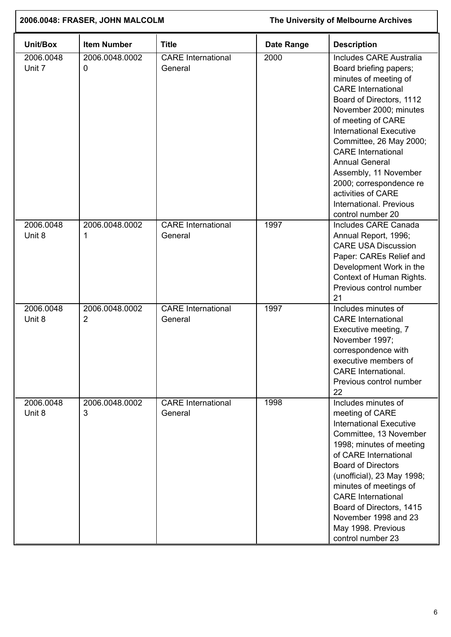| 2006.0048: FRASER, JOHN MALCOLM |                                  | The University of Melbourne Archives |            |                                                                                                                                                                                                                                                                                                                                                                                                                                         |
|---------------------------------|----------------------------------|--------------------------------------|------------|-----------------------------------------------------------------------------------------------------------------------------------------------------------------------------------------------------------------------------------------------------------------------------------------------------------------------------------------------------------------------------------------------------------------------------------------|
| Unit/Box                        | <b>Item Number</b>               | <b>Title</b>                         | Date Range | <b>Description</b>                                                                                                                                                                                                                                                                                                                                                                                                                      |
| 2006.0048<br>Unit 7             | 2006.0048.0002<br>0              | <b>CARE</b> International<br>General | 2000       | <b>Includes CARE Australia</b><br>Board briefing papers;<br>minutes of meeting of<br><b>CARE</b> International<br>Board of Directors, 1112<br>November 2000; minutes<br>of meeting of CARE<br><b>International Executive</b><br>Committee, 26 May 2000;<br><b>CARE</b> International<br><b>Annual General</b><br>Assembly, 11 November<br>2000; correspondence re<br>activities of CARE<br>International. Previous<br>control number 20 |
| 2006.0048<br>Unit 8             | 2006.0048.0002<br>1              | <b>CARE</b> International<br>General | 1997       | Includes CARE Canada<br>Annual Report, 1996;<br><b>CARE USA Discussion</b><br>Paper: CAREs Relief and<br>Development Work in the<br>Context of Human Rights.<br>Previous control number<br>21                                                                                                                                                                                                                                           |
| 2006.0048<br>Unit 8             | 2006.0048.0002<br>$\overline{2}$ | <b>CARE</b> International<br>General | 1997       | Includes minutes of<br><b>CARE</b> International<br>Executive meeting, 7<br>November 1997;<br>correspondence with<br>executive members of<br><b>CARE</b> International.<br>Previous control number<br>22                                                                                                                                                                                                                                |
| 2006.0048<br>Unit 8             | 2006.0048.0002<br>3              | <b>CARE</b> International<br>General | 1998       | Includes minutes of<br>meeting of CARE<br><b>International Executive</b><br>Committee, 13 November<br>1998; minutes of meeting<br>of CARE International<br><b>Board of Directors</b><br>(unofficial), 23 May 1998;<br>minutes of meetings of<br><b>CARE</b> International<br>Board of Directors, 1415<br>November 1998 and 23<br>May 1998. Previous<br>control number 23                                                                |